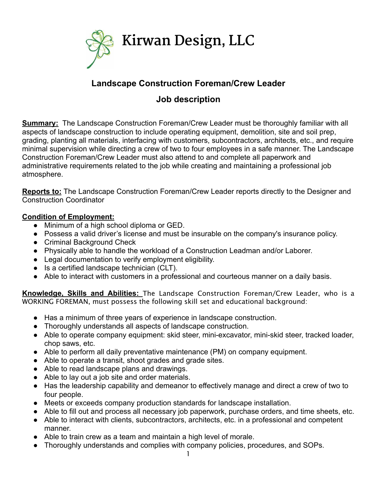

# **Landscape Construction Foreman/Crew Leader**

## **Job description**

**Summary:** The Landscape Construction Foreman/Crew Leader must be thoroughly familiar with all aspects of landscape construction to include operating equipment, demolition, site and soil prep, grading, planting all materials, interfacing with customers, subcontractors, architects, etc., and require minimal supervision while directing a crew of two to four employees in a safe manner. The Landscape Construction Foreman/Crew Leader must also attend to and complete all paperwork and administrative requirements related to the job while creating and maintaining a professional job atmosphere.

**Reports to:** The Landscape Construction Foreman/Crew Leader reports directly to the Designer and Construction Coordinator

## **Condition of Employment:**

- Minimum of a high school diploma or GED.
- Possess a valid driver's license and must be insurable on the company's insurance policy.
- Criminal Background Check
- Physically able to handle the workload of a Construction Leadman and/or Laborer.
- Legal documentation to verify employment eligibility.
- Is a certified landscape technician (CLT).
- Able to interact with customers in a professional and courteous manner on a daily basis.

**Knowledge, Skills and Abilities:** The Landscape Construction Foreman/Crew Leader, who is a WORKING FOREMAN, must possess the following skill set and educational background:

- Has a minimum of three years of experience in landscape construction.
- Thoroughly understands all aspects of landscape construction.
- Able to operate company equipment: skid steer, mini-excavator, mini-skid steer, tracked loader, chop saws, etc.
- Able to perform all daily preventative maintenance (PM) on company equipment.
- Able to operate a transit, shoot grades and grade sites.
- Able to read landscape plans and drawings.
- Able to lay out a job site and order materials.
- Has the leadership capability and demeanor to effectively manage and direct a crew of two to four people.
- Meets or exceeds company production standards for landscape installation.
- Able to fill out and process all necessary job paperwork, purchase orders, and time sheets, etc.
- Able to interact with clients, subcontractors, architects, etc. in a professional and competent manner.
- Able to train crew as a team and maintain a high level of morale.
- Thoroughly understands and complies with company policies, procedures, and SOPs.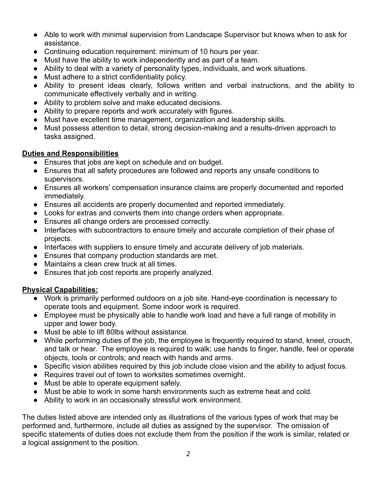- Able to work with minimal supervision from Landscape Supervisor but knows when to ask for assistance.
- Continuing education requirement: minimum of 10 hours per year.
- Must have the ability to work independently and as part of a team.
- Ability to deal with a variety of personality types, individuals, and work situations.
- Must adhere to a strict confidentiality policy.
- Ability to present ideas clearly, follows written and verbal instructions, and the ability to communicate effectively verbally and in writing.
- Ability to problem solve and make educated decisions.
- Ability to prepare reports and work accurately with figures.
- Must have excellent time management, organization and leadership skills.
- Must possess attention to detail, strong decision-making and a results-driven approach to tasks assigned.

### **Duties and Responsibilities**

- Ensures that jobs are kept on schedule and on budget.
- Ensures that all safety procedures are followed and reports any unsafe conditions to supervisors.
- Ensures all workers' compensation insurance claims are properly documented and reported immediately.
- Ensures all accidents are properly documented and reported immediately.
- Looks for extras and converts them into change orders when appropriate.
- Ensures all change orders are processed correctly.
- Interfaces with subcontractors to ensure timely and accurate completion of their phase of projects.
- Interfaces with suppliers to ensure timely and accurate delivery of job materials.
- Ensures that company production standards are met.
- Maintains a clean crew truck at all times.
- Ensures that job cost reports are properly analyzed.

### **Physical Capabilities:**

- Work is primarily performed outdoors on a job site. Hand-eye coordination is necessary to operate tools and equipment. Some indoor work is required.
- Employee must be physically able to handle work load and have a full range of mobility in upper and lower body.
- Must be able to lift 80lbs without assistance.
- While performing duties of the job, the employee is frequently required to stand, kneel, crouch, and talk or hear. The employee is required to walk; use hands to finger, handle, feel or operate objects, tools or controls; and reach with hands and arms.
- Specific vision abilities required by this job include close vision and the ability to adjust focus.
- Requires travel out of town to worksites sometimes overnight.
- Must be able to operate equipment safely.
- Must be able to work in some harsh environments such as extreme heat and cold.
- Ability to work in an occasionally stressful work environment.

The duties listed above are intended only as illustrations of the various types of work that may be performed and, furthermore, include all duties as assigned by the supervisor. The omission of specific statements of duties does not exclude them from the position if the work is similar, related or a logical assignment to the position.